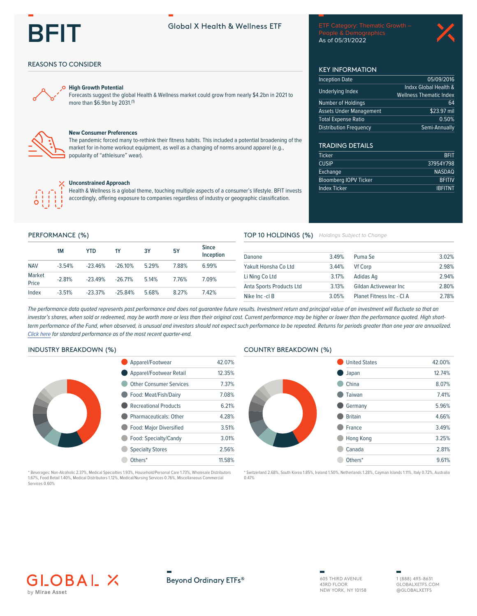# **REIT**

# Global X Health & Wellness FTF

People & Demographics As of 05/31/2022

05/09/2016

64 \$23.97 mil

0.50%

**BFIT** 

**BFITIV** 

**IBFITNT** 

37954Y798 **NASDAQ** 

Semi-Annually

Indxx Global Health &

**Wellness Thematic Index** 

**KEY INFORMATION** 

**Inception Date** 

**Underlying Index** 

Number of Holdings

**Distribution Frequency** 

**TRADING DETAILS** 

**Bloomberg IOPV Ticker** 

Ticker

**CUSIP** 

Exchange

Index Ticker

**Assets Under Management Total Expense Ratio** 

## **REASONS TO CONSIDER**



#### **High Growth Potential**

Forecasts suggest the global Health & Wellness market could grow from nearly \$4.2bn in 2021 to more than \$6.9bn by 2031.(1)



### **New Consumer Preferences**

The pandemic forced many to-rethink their fitness habits. This included a potential broadening of the market for in-home workout equipment, as well as a changing of norms around apparel (e.g., popularity of "athleisure" wear).



#### **Unconstrained Approach**

Health & Wellness is a global theme, touching multiple aspects of a consumer's lifestyle. BFIT invests accordingly, offering exposure to companies regardless of industry or geographic classification.

#### PERFORMANCE (%)

|                 | <b>1M</b> | YTD       | 1Y        | 3Y    | <b>5Y</b> | <b>Since</b><br>Inception |
|-----------------|-----------|-----------|-----------|-------|-----------|---------------------------|
| <b>NAV</b>      | $-3.54%$  | $-23.46%$ | $-26.10%$ | 5.29% | 788%      | 6.99%                     |
| Market<br>Price | $-2.81%$  | $-23.49%$ | $-26.71%$ | 5.14% | 776%      | 7.09%                     |
| Index           | $-3.51%$  | $-23.37%$ | $-25.84%$ | 5.68% | 8 27%     | 742%                      |

#### TOP 10 HOLDINGS (%) Holdings Subject to Change

| 3.49%                   | Puma Se               | 3.02%                     |
|-------------------------|-----------------------|---------------------------|
| 3.44%                   | <b>Vf Corp</b>        | 2.98%                     |
| 3.17%                   | Adidas Ag             | 2.94%                     |
| 3.13%                   | Gildan Activewear Inc | 2.80%                     |
| Nike Inc -cl B<br>3.05% |                       | 2.78%                     |
|                         |                       | Planet Fitness Inc - CI A |

The performance data quoted represents past performance and does not guarantee future results. Investment return and principal value of an investment will fluctuate so that an investor's shares, when sold or redeemed, may be worth more or less than their original cost. Current performance may be higher or lower than the performance quoted. High shortterm performance of the Fund, when observed, is unusual and investors should not expect such performance to be repeated. Returns for periods greater than one year are annualized. Click here for standard performance as of the most recent quarter-end.

# **INDUSTRY BREAKDOWN (%)**



| Apparel/Footwear               | 42 07% |
|--------------------------------|--------|
| Apparel/Footwear Retail        | 12.35% |
| <b>Other Consumer Services</b> | 737%   |
| Food: Meat/Fish/Dairy          | 7.08%  |
| <b>Recreational Products</b>   | 6 21%  |
| Pharmaceuticals: Other         | 4 28%  |
| <b>Food: Major Diversified</b> | 3.51%  |
| Food: Specialty/Candy          | 3.01%  |
| <b>Specialty Stores</b>        | 2.56%  |
| Others*                        | 11.58% |

#### Beverages: Non-Alcoholic 2.37%, Medical Specialties 1.93%, Household/Personal Care 1.73%, Wholesale Distributors 1.67%, Food Retail 1.40%, Medical Distributors 1.12%, Medical/Nursing Services 0.76%, Miscellaneous Commercial Services 0.60%

#### **COUNTRY BREAKDOWN (%)**



% Switzerland 2.68%, South Korea 1.85%, Ireland 1.50%, Netherlands 1.28%, Cayman Islands 1.11%, Italy 0.72%, Australia  $0.47%$ 







1 (888) 493-8631 GLOBAL XETES COM @GLOBALXETFS